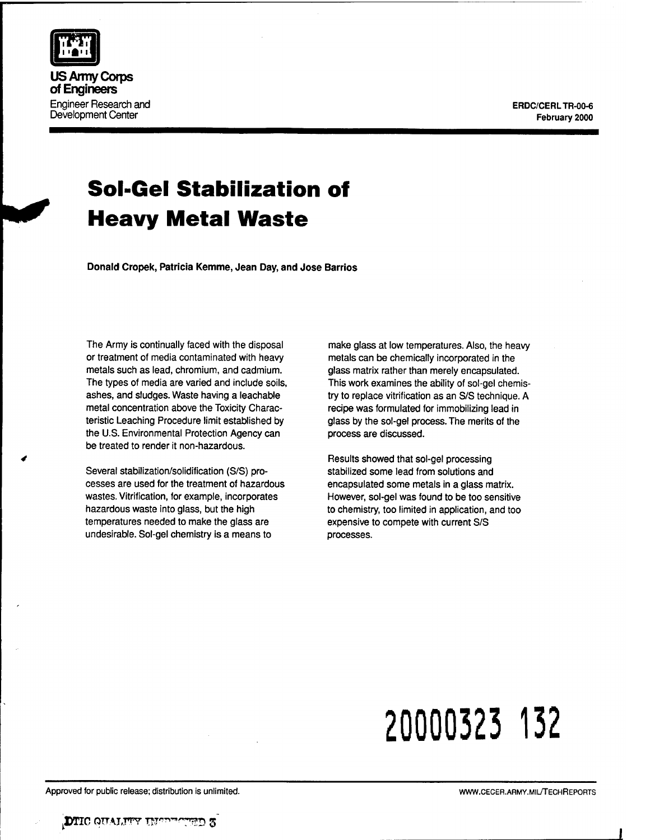ERDC/CERLTR-00-6 February 2000



**Donald Cropek, Patricia Kemme, Jean Day, and Jose Barrios**

The Army is continually faced with the disposal or treatment of media contaminated with heavy metals such as lead, chromium, and cadmium. The types of media are varied and include soils, ashes, and sludges. Waste having a leachable metal concentration above the Toxicity Characteristic Leaching Procedure limit established by the U.S. Environmental Protection Agency can be treated to render it non-hazardous.

Several stabilization/solidification (S/S) processes are used for the treatment of hazardous wastes. Vitrification, for example, incorporates hazardous waste into glass, but the high temperatures needed to make the glass are undesirable. Sol-gel chemistry is a means to

make glass at low temperatures. Also, the heavy metals can be chemically incorporated in the glass matrix rather than merely encapsulated. This work examines the ability of sol-gel chemistry to replace vitrification as an S/S technique. A recipe was formulated for immobilizing lead in glass by the sol-gel process. The merits of the process are discussed.

Results showed that sol-gel processing stabilized some lead from solutions and encapsulated some metals in a glass matrix. However, sol-gel was found to be too sensitive to chemistry, too limited in application, and too expensive to compete with current S/S processes.

# **20000323 132**



**US Army Corps of Engineers** Engineer Research and Development Center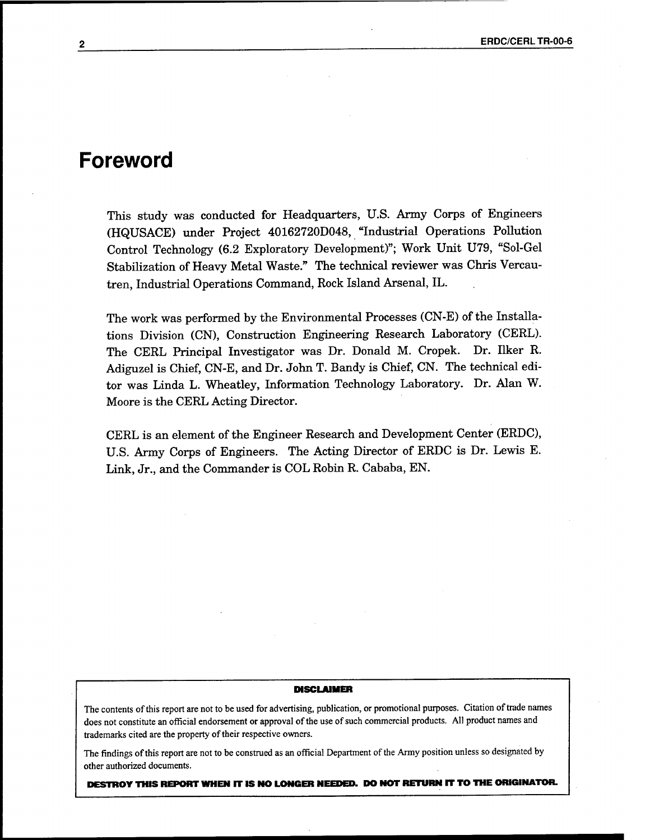## **Foreword**

This study was conducted for Headquarters, U.S. Army Corps of Engineers (HQUSACE) under Project 40162720D048, "Industrial Operations Pollution Control Technology (6.2 Exploratory Development)"; Work Unit U79, "Sol-Gel Stabilization of Heavy Metal Waste." The technical reviewer was Chris Vercautren, Industrial Operations Command, Rock Island Arsenal, IL.

The work was performed by the Environmental Processes (CN-E) of the Installations Division (CN), Construction Engineering Research Laboratory (CERL). The CERL Principal Investigator was Dr. Donald M. Cropek. Dr. Ilker R. Adiguzel is Chief, CN-E, and Dr. John T. Bandy is Chief, CN. The technical editor was Linda L. Wheatley, Information Technology Laboratory. Dr. Alan W. Moore is the CERL Acting Director.

CERL is an element of the Engineer Research and Development Center (ERDC), U.S. Army Corps of Engineers. The Acting Director of ERDC is Dr. Lewis E. Link, Jr., and the Commander is COL Robin R. Cababa, EN.

#### **DISCLAIMER**

The contents of this report are not to be used for advertising, publication, or promotional purposes. Citation of trade names does not constitute an official endorsement or approval of the use of such commercial products. All product names and trademarks cited are the property of their respective owners.

The findings of this report are not to be construed as an official Department of the Army position unless so designated by other authorized documents.

**DESTROY THIS REPORT WHEN IT IS NO LONGER NEEDED. DO NOT RETURN IT TO THE ORIGINATOR.**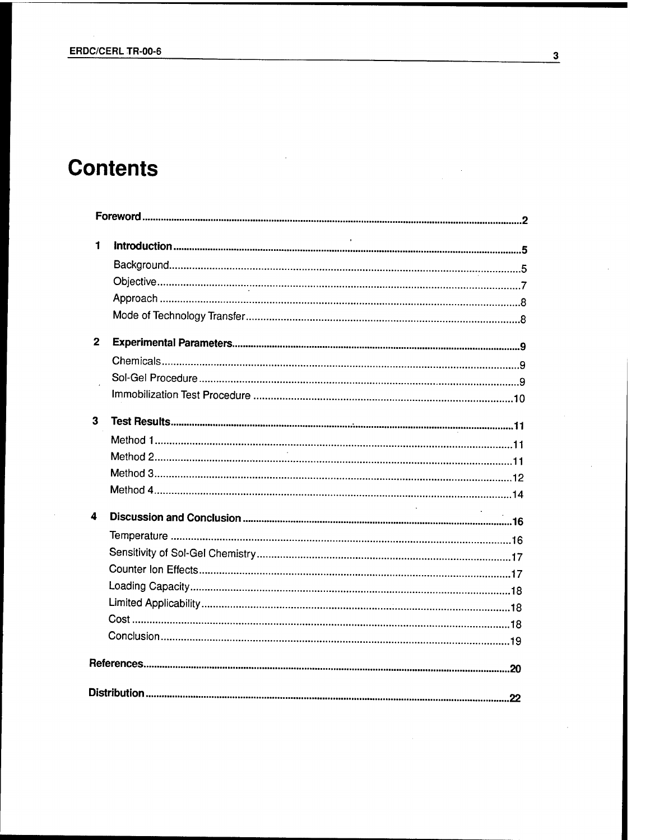# **Contents**

| 1            |  |
|--------------|--|
|              |  |
|              |  |
|              |  |
|              |  |
| $\mathbf{2}$ |  |
|              |  |
|              |  |
|              |  |
| $\mathbf{3}$ |  |
|              |  |
|              |  |
|              |  |
|              |  |
| 4            |  |
|              |  |
|              |  |
|              |  |
|              |  |
|              |  |
|              |  |
|              |  |
|              |  |
|              |  |

 $\overline{\mathbf{3}}$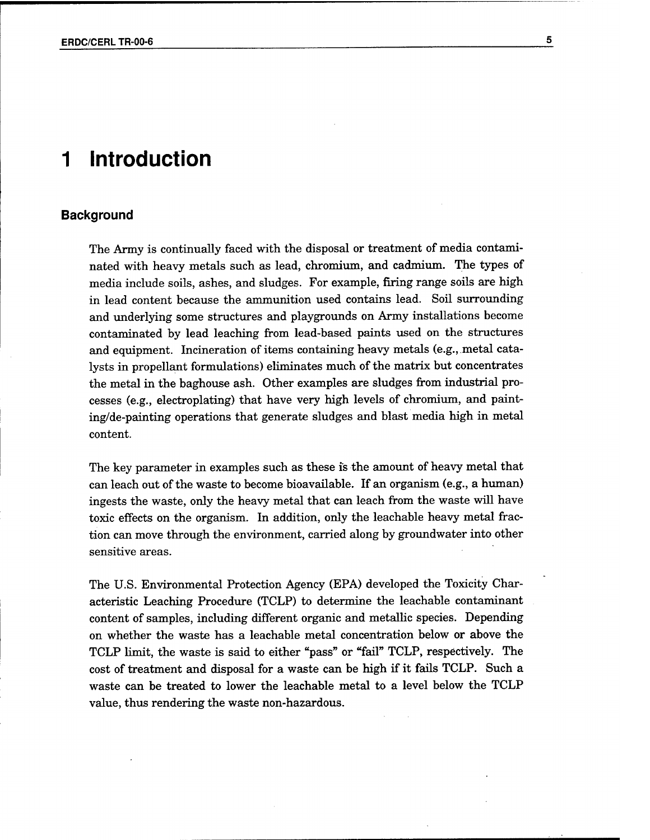# **<sup>1</sup> Introduction**

#### **Background**

The Army is continually faced with the disposal or treatment of media contaminated with heavy metals such as lead, chromium, and cadmium. The types of media include soils, ashes, and sludges. For example, firing range soils are high in lead content because the ammunition used contains lead. Soil surrounding and underlying some structures and playgrounds on Army installations become contaminated by lead leaching from lead-based paints used on the structures and equipment. Incineration of items containing heavy metals (e.g., metal catalysts in propellant formulations) eliminates much of the matrix but concentrates the metal in the baghouse ash. Other examples are sludges from industrial processes (e.g., electroplating) that have very high levels of chromium, and painting/de-painting operations that generate sludges and blast media high in metal content.

The key parameter in examples such as these is the amount of heavy metal that can leach out of the waste to become bioavailable. If an organism (e.g., a human) ingests the waste, only the heavy metal that can leach from the waste will have toxic effects on the organism. In addition, only the leachable heavy metal fraction can move through the environment, carried along by groundwater into other sensitive areas.

The U.S. Environmental Protection Agency (EPA) developed the Toxicity Characteristic Leaching Procedure (TCLP) to determine the leachable contaminant content ofsamples, including different organic and metallic species. Depending on whether the waste has a leachable metal concentration below or above the TCLP limit, the waste is said to either "pass" or "fail" TCLP, respectively. The cost of treatment and disposal for a waste can be high if it fails TCLP. Such a waste can be treated to lower the leachable metal to a level below the TCLP value, thus rendering the waste non-hazardous.

5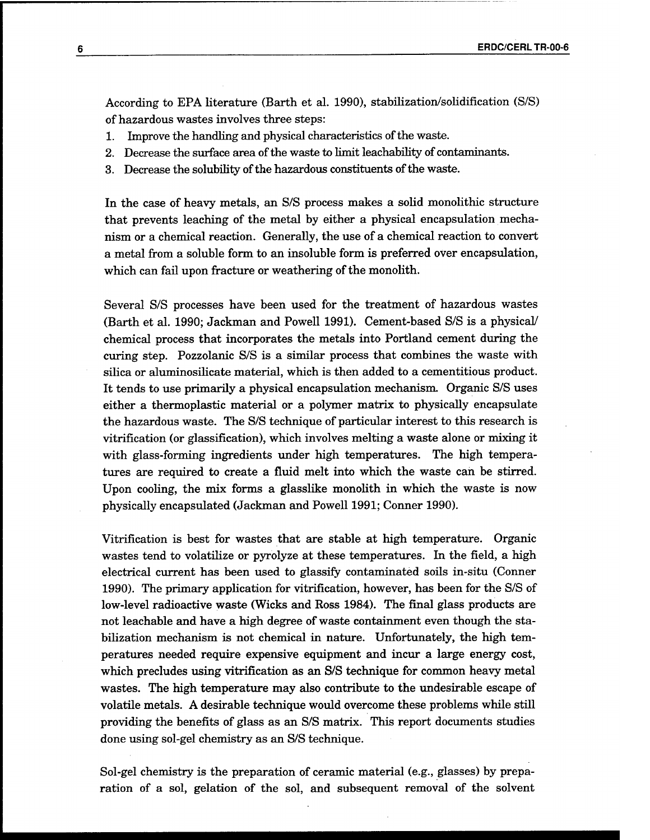According to EPA literature (Barth et al. 1990), stabilization/solidification (S/S) of hazardous wastes involves three steps:

- 1. Improve the handling and physical characteristics of the waste.
- 2. Decrease the surface area of the waste to limit leachability of contaminants.
- 3. Decrease the solubility of the hazardous constituents of the waste.

In the case of heavy metals, an S/S process makes a solid monolithic structure that prevents leaching of the metal by either a physical encapsulation mechanism or a chemical reaction. Generally, the use of a chemical reaction to convert a metal from a soluble form to an insoluble form is preferred over encapsulation, which can fail upon fracture or weathering of the monolith.

Several S/S processes have been used for the treatment of hazardous wastes (Barth et al. 1990; Jackman and Powell 1991). Cement-based S/S is a physical/ chemical process that incorporates the metals into Portland cement during the curing step. Pozzolanic S/S is a similar process that combines the waste with silica or aluminosilicate material, which is then added to a cementitious product. It tends to use primarily a physical encapsulation mechanism. Organic S/S uses either a thermoplastic material or a polymer matrix to physically encapsulate the hazardous waste. The S/S technique of particular interest to this research is vitrification (or glassification), which involves melting a waste alone or mixing it with glass-forming ingredients under high temperatures. The high temperatures are required to create a fluid melt into which the waste can be stirred. Upon cooling, the mix forms a glasslike monolith in which the waste is now physically encapsulated (Jackman and Powell 1991; Conner 1990).

Vitrification is best for wastes that are stable at high temperature. Organic wastes tend to volatilize or pyrolyze at these temperatures. In the field, a high electrical current has been used to glassify contaminated soils in-situ (Conner 1990). The primary application for vitrification, however, has been for the S/S of low-level radioactive waste (Wicks and Ross 1984). The final glass products are not leachable and have a high degree of waste containment even though the stabilization mechanism is not chemical in nature. Unfortunately, the high temperatures needed require expensive equipment and incur a large energy cost, which precludes using vitrification as an S/S technique for common heavy metal wastes. The high temperature may also contribute to the undesirable escape of volatile metals. A desirable technique would overcome these problems while still providing the benefits of glass as an S/S matrix. This report documents studies done using sol-gel chemistry as an S/S technique.

Sol-gel chemistry is the preparation of ceramic material (e.g., glasses) by preparation of a sol, gelation of the sol, and subsequent removal of the solvent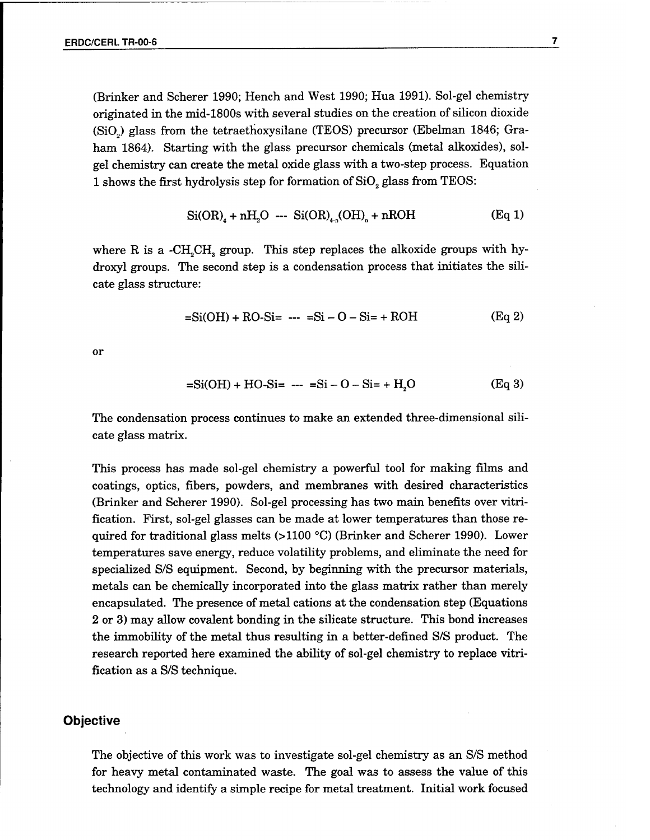(Brinker and Scherer 1990; Hench and West 1990; Hua 1991). Sol-gel chemistry originated in the mid-1800s with several studies on the creation of silicon dioxide (Si02) glass from the tetraethoxysilane (TEOS) precursor (Ebelman 1846; Graham 1864). Starting with the glass precursor chemicals (metal alkoxides), solgel chemistry can create the metal oxide glass with a two-step process. Equation 1 shows the first hydrolysis step for formation of  $SiO<sub>2</sub>$  glass from TEOS:

$$
Si(OR)_{4} + nH_{2}O \text{ -- } Si(OR)_{4n}(OH)_{n} + nROH
$$
 (Eq 1)

where R is a -CH<sub>2</sub>CH<sub>3</sub> group. This step replaces the alkoxide groups with hydroxyl groups. The second step is a condensation process that initiates the silicate glass structure:

$$
=Si(OH) + RO-Si = -Si - O - Si = + ROH
$$
 (Eq 2)

or

$$
=Si(OH) + HO-Si = -- = Si-O-Si = + H2O
$$
 (Eq 3)

The condensation process continues to make an extended three-dimensional silicate glass matrix.

This process has made sol-gel chemistry a powerful tool for making films and coatings, optics, fibers, powders, and membranes with desired characteristics (Brinker and Scherer 1990). Sol-gel processing has two main benefits over vitrification. First, sol-gel glasses can be made at lower temperatures than those required for traditional glass melts (>1100 °C) (Brinker and Scherer 1990). Lower temperatures save energy, reduce volatility problems, and eliminate the need for specialized S/S equipment. Second, by beginning with the precursor materials, metals can be chemically incorporated into the glass matrix rather than merely encapsulated. The presence of metal cations at the condensation step (Equations 2 or 3) may allow covalent bonding in the silicate structure. This bond increases the immobility of the metal thus resulting in a better-defined S/S product. The research reported here examined the ability of sol-gel chemistry to replace vitrification as a S/S technique.

#### **Objective**

The objective of this work was to investigate sol-gel chemistry as an S/S method for heavy metal contaminated waste. The goal was to assess the value of this technology and identify a simple recipe for metal treatment. Initial work focused  $\overline{\mathbf{7}}$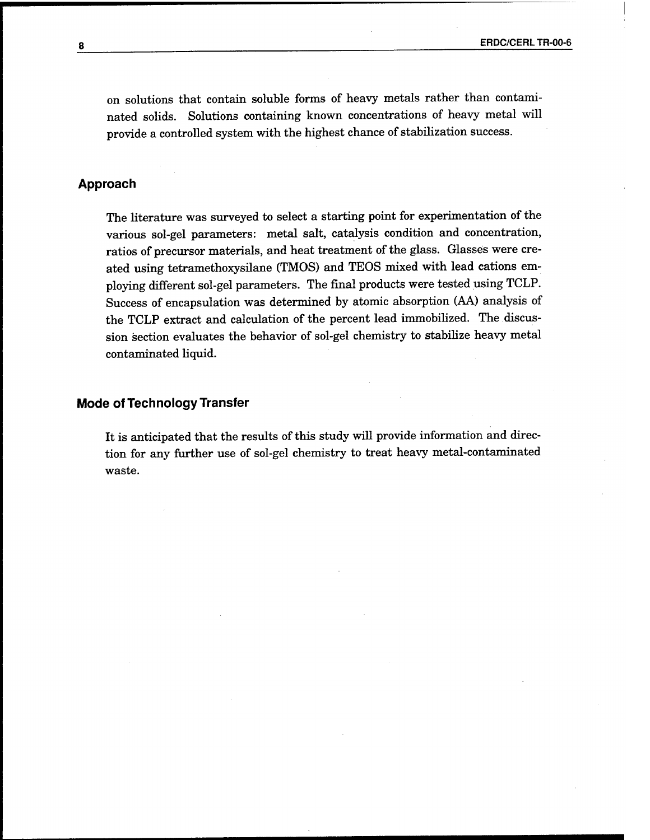on solutions that contain soluble forms of heavy metals rather than contaminated solids. Solutions containing known concentrations of heavy metal will provide a controlled system with the highest chance of stabilization success.

#### **Approach**

The literature was surveyed to select a starting point for experimentation of the various sol-gel parameters: metal salt, catalysis condition and concentration, ratios of precursor materials, and heat treatment of the glass. Glasses were created using tetramethoxysilane (TMOS) and TEOS mixed with lead cations employing different sol-gel parameters. The final products were tested using TCLP. Success of encapsulation was determined by atomic absorption (AA) analysis of the TCLP extract and calculation of the percent lead immobilized. The discussion section evaluates the behavior of sol-gel chemistry to stabilize heavy metal contaminated liquid.

#### **Mode of Technology Transfer**

It is anticipated that the results of this study will provide information and direction for any further use of sol-gel chemistry to treat heavy metal-contaminated waste.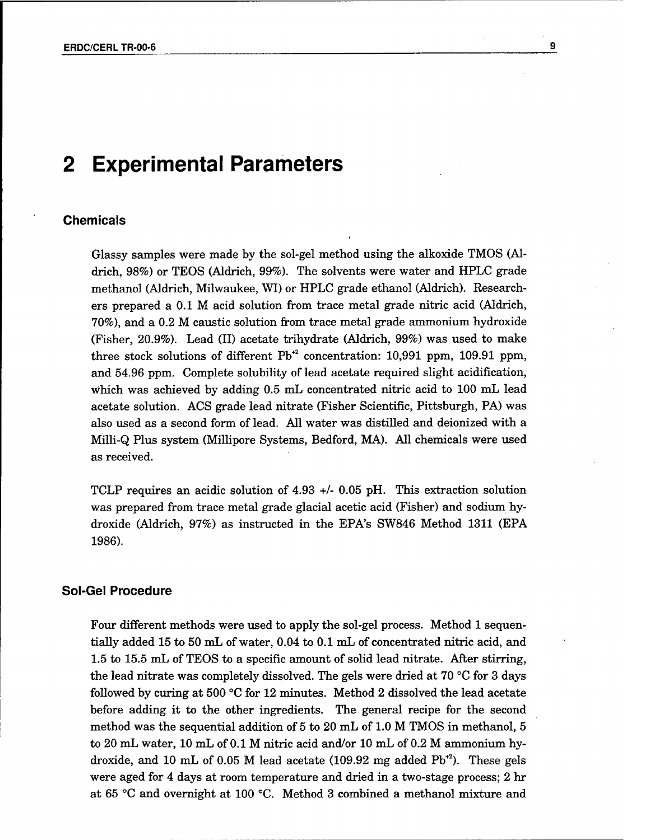## **2 Experimental Parameters**

#### **Chemicals**

Glassy samples were made by the sol-gel method using the alkoxide TMOS (Aldrich, 98%) or TEOS (Aldrich, 99%). The solvents were water and HPLC grade methanol (Aldrich, Milwaukee, WI) or HPLC grade ethanol (Aldrich). Researchers prepared a 0.1 M acid solution from trace metal grade nitric acid (Aldrich, 70%), and a 0.2 M caustic solution from trace metal grade ammonium hydroxide (Fisher, 20.9%). Lead (II) acetate trihydrate (Aldrich, 99%) was used to make three stock solutions of different  $Pb^{2}$  concentration: 10,991 ppm, 109.91 ppm, and 54.96 ppm. Complete solubility of lead acetate required slight acidification, Which was achieved by adding 0.5 mL concentrated nitric acid to 100 mL lead acetate solution. ACS grade lead nitrate (Fisher Scientific, Pittsburgh, PA) was also used as a second form of lead. All water was distilled and deionized with a Milli-Q Plus system (Millipore Systems, Bedford, MA). All chemicals were used as received.

 $\boldsymbol{9}$ 

TCLP requires an acidic solution of 4.93 +/- 0.05 pH. This extraction solution was prepared from trace metal grade glacial acetic acid (Fisher) and sodium hydroxide (Aldrich, 97%) as instructed in the EPA's SW846 Method 1311 (EPA 1986).

#### Sol-Gel Procedure

Four different methods were used to apply the sol-gel process. Method 1 sequentially added 15 to 50 mL of water, 0.04 to 0.1 mL of concentrated nitric acid, and 1.5 to 15.5 mL of TEOS to a specific amount of solid lead nitrate. After stirring, the lead nitrate was completely dissolved. The gels were dried at 70 °C for 3 days followed by curing at 500 °C for 12 minutes. Method 2 dissolved the lead acetate before adding it to the other ingredients. The general recipe for the second method was the sequential addition of 5 to 20 mL of 1.0 M TMOS in methanol, 5 to 20 mL water, 10 mL of 0.1 M nitric acid and/or 10 mL of 0.2 M ammonium hydroxide, and 10 mL of 0.05 M lead acetate (109.92 mg added  $Pb^{*2}$ ). These gels were aged for 4 days at room temperature and dried in a two-stage process; 2 hr at 65 °C and overnight at 100 °C. Method 3 combined a methanol mixture and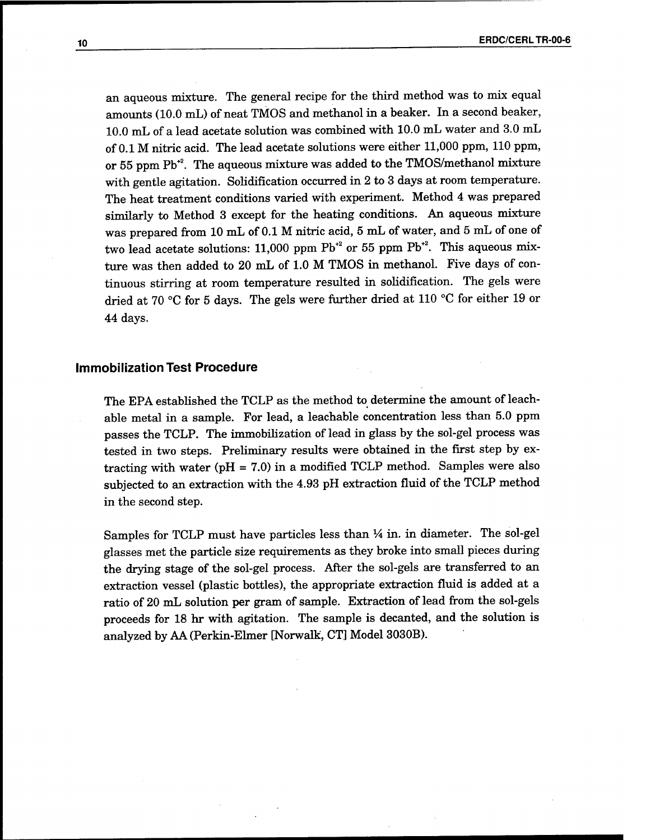an aqueous mixture. The general recipe for the third method was to mix equal amounts (10.0 mL) of neat TMOS and methanol in a beaker. In a second beaker, 10.0 mL of a lead acetate solution was combined with 10.0 mL water and 3.0 mL of 0.1 M nitric acid. The lead acetate solutions were either 11,000 ppm, 110 ppm, or 55 ppm  $\rm Pb^{*2}.$  The aqueous mixture was added to the TMOS/methanol mixture with gentle agitation. Solidification occurred in 2 to 3 days at room temperature. The heat treatment conditions varied with experiment. Method 4 was prepared similarly to Method 3 except for the heating conditions. An aqueous mixture was prepared from 10 mL of 0.1 M nitric acid, 5 mL of water, and 5 mL of one of two lead acetate solutions: 11,000 ppm  $\rm Pb^{*2}$  or 55 ppm  $\rm Pb^{*2}$ . This aqueous mixture was then added to 20 mL of 1.0 M TMOS in methanol. Five days of continuous stirring at room temperature resulted in solidification. The gels were dried at 70 °C for 5 days. The gels were further dried at 110 °C for either 19 or 44 days.

#### **Immobilization Test Procedure**

The EPA established the TCLP as the method to determine the amount of leachable metal in a sample. For lead, a leachable concentration less than 5.0 ppm passes the TCLP. The immobilization of lead in glass by the sol-gel process was tested in two steps. Preliminary results were obtained in the first step by extracting with water ( $pH = 7.0$ ) in a modified TCLP method. Samples were also subjected to an extraction with the 4.93 pH extraction fluid of the TCLP method in the second step.

Samples for TCLP must have particles less than *VA* in. in diameter. The sol-gel glasses met the particle size requirements as they broke into small pieces during the drying stage of the sol-gel process. After the sol-gels are transferred to an extraction vessel (plastic bottles), the appropriate extraction fluid is added at a ratio of 20 mL solution per gram of sample. Extraction of lead from the sol-gels proceeds for 18 hr with agitation. The sample is decanted, and the solution is analyzed by AA (Perkin-Elmer [Norwalk, CT] Model 3030B).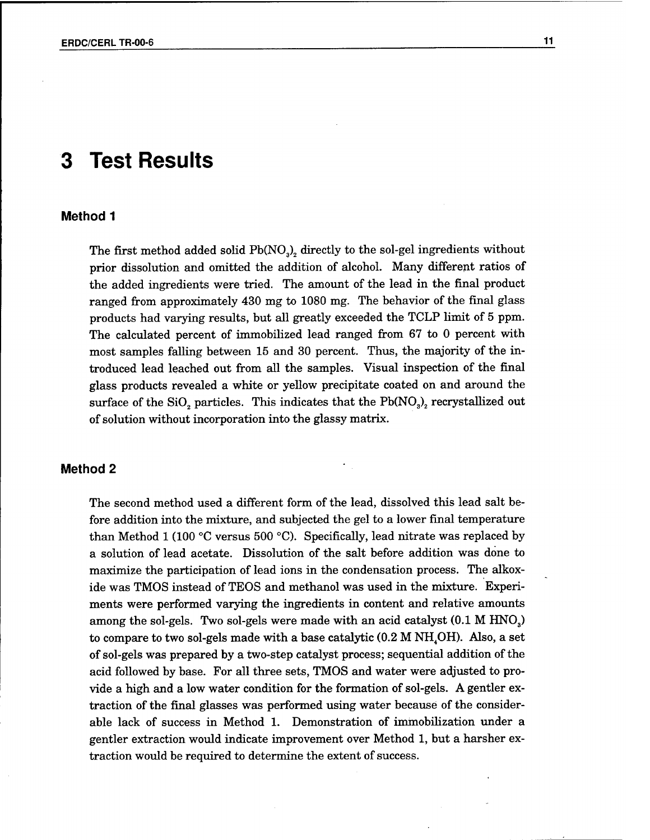# **3 Test Results**

#### **Method <sup>1</sup>**

The first method added solid  $Pb(NO<sub>3</sub>)<sub>2</sub>$  directly to the sol-gel ingredients without prior dissolution and omitted the addition of alcohol. Many different ratios of the added ingredients were tried. The amount of the lead in the final product ranged from approximately 430 mg to 1080 mg. The behavior of the final glass products had varying results, but all greatly exceeded the TCLP limit of 5 ppm. The calculated percent of immobilized lead ranged from 67 to 0 percent with most samples falling between 15 and 30 percent. Thus, the majority of the introduced lead leached out from all the samples. Visual inspection of the final glass products revealed a white or yellow precipitate coated on and around the surface of the SiO<sub>2</sub> particles. This indicates that the  $Pb(NO<sub>3</sub>)<sub>2</sub>$  recrystallized out of solution without incorporation into the glassy matrix.

#### **Method 2**

The second method used a different form of the lead, dissolved this lead salt before addition into the mixture, and subjected the gel to a lower final temperature than Method <sup>1</sup> (100 °C versus 500 °C). Specifically, lead nitrate was replaced by a solution of lead acetate. Dissolution of the salt before addition was done to maximize the participation of lead ions in the condensation process. The alkoxide was TMOS instead of TEOS and methanol was used in the mixture. Experiments were performed varying the ingredients in content and relative amounts among the sol-gels. Two sol-gels were made with an acid catalyst (0.1 M HNO<sub>3</sub>) to compare to two sol-gels made with a base catalytic  $(0.2 M NH<sub>4</sub>OH)$ . Also, a set of sol-gels was prepared by a two-step catalyst process; sequential addition ofthe acid followed by base. For all three sets, TMOS and water were adjusted to provide a high and a low water condition for the formation of sol-gels. A gentler extraction of the final glasses was performed using water because of the considerable lack of success in Method 1. Demonstration of immobilization under a gentler extraction would indicate improvement over Method 1, but a harsher extraction would be required to determine the extent of success.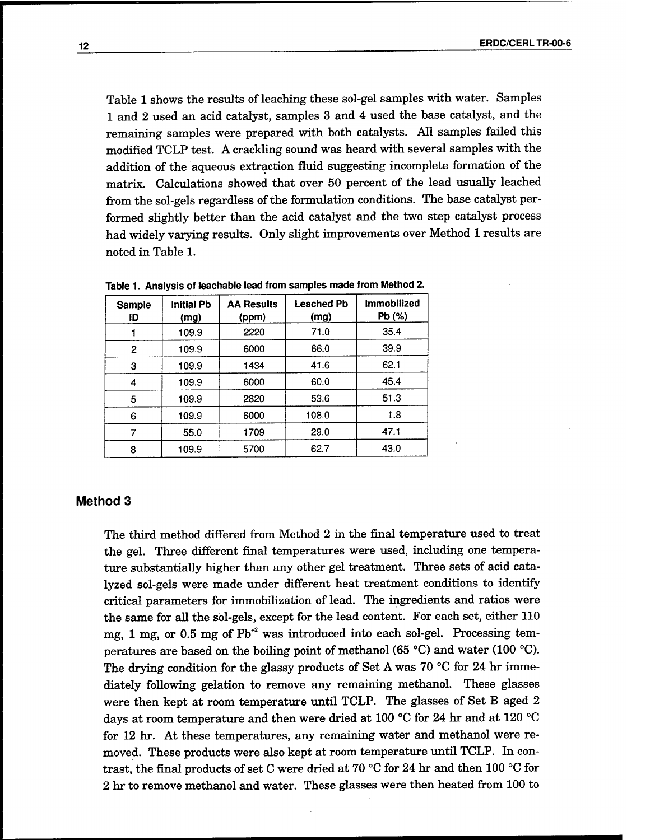Table 1 shows the results of leaching these sol-gel samples with water. Samples <sup>1</sup> and 2 used an acid catalyst, samples 3 and 4 used the base catalyst, and the remaining samples were prepared with both catalysts. All samples failed this modified TCLP test. A crackling sound was heard with several samples with the addition of the aqueous extraction fluid suggesting incomplete formation of the matrix. Calculations showed that over 50 percent of the lead usually leached from the sol-gels regardless of the formulation conditions. The base catalyst performed slightly better than the acid catalyst and the two step catalyst process had widely varying results. Only slight improvements over Method 1 results are noted in Table 1.

| Sample<br>ID | <b>Initial Pb</b><br>(mg) | <b>AA Results</b><br>(ppm) | <b>Leached Pb</b><br>(mg) | <b>Immobilized</b><br>Pb (%) |
|--------------|---------------------------|----------------------------|---------------------------|------------------------------|
|              | 109.9                     | 2220                       | 71.0                      | 35.4                         |
| 2            | 109.9                     | 6000                       | 66.0                      | 39.9                         |
| 3            | 109.9                     | 1434                       | 41.6                      | 62.1                         |
| 4            | 109.9                     | 6000                       | 60.0                      | 45.4                         |
| 5            | 109.9                     | 2820                       | 53.6                      | 51.3                         |
| 6            | 109.9                     | 6000                       | 108.0                     | 1.8                          |
|              | 55.0                      | 1709                       | 29.0                      | 47.1                         |
| 8            | 109.9                     | 5700                       | 62.7                      | 43.0                         |

Table 1. Analysis of leachable lead from samples made from Method 2.

#### **Method 3**

The third method differed from Method 2 in the final temperature used to treat the gel. Three different final temperatures were used, including one temperature substantially higher than any other gel treatment. Three sets of acid catalyzed sol-gels were made under different heat treatment conditions to identify critical parameters for immobilization of lead. The ingredients and ratios were the same for all the sol-gels, except for the lead content. For each set, either 110 mg, 1 mg, or 0.5 mg of  $Pb^{2}$  was introduced into each sol-gel. Processing temperatures are based on the boiling point of methanol (65 °C) and water (100 °C). The drying condition for the glassy products of Set A was 70 °C for 24 hr immediately following gelation to remove any remaining methanol. These glasses were then kept at room temperature until TCLP. The glasses of Set B aged 2 days at room temperature and then were dried at 100 °C for 24 hr and at 120 °C for 12 hr. At these temperatures, any remaining water and methanol were removed. These products were also kept at room temperature until TCLP. In contrast, the final products of set C were dried at 70 °C for 24 hr and then 100 °C for 2 hr to remove methanol and water. These glasses were then heated from 100 to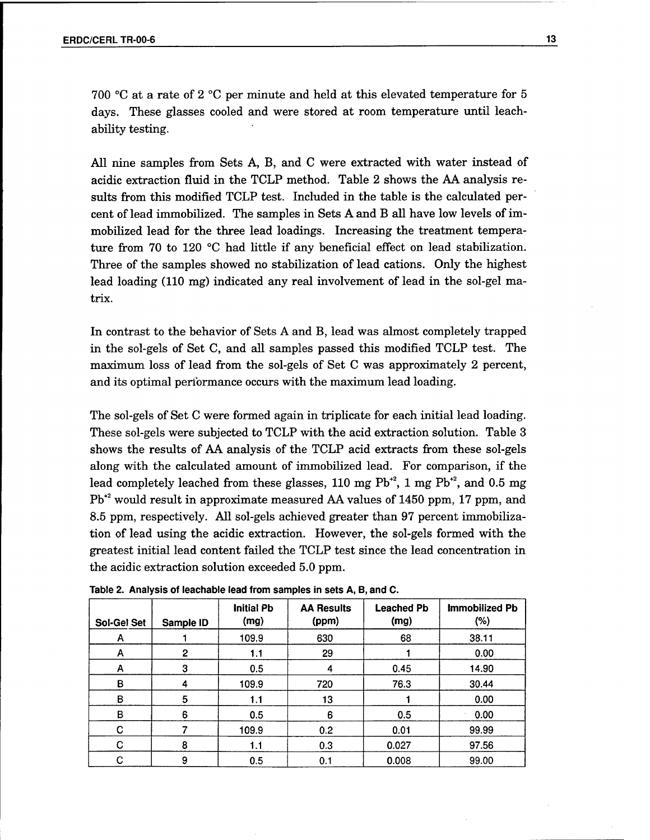700 °C at a rate of 2 °C per minute and held at this elevated temperature for 5 days. These glasses cooled and were stored at room temperature until leachability testing.

All nine samples from Sets A, B, and C were extracted with water instead of acidic extraction fluid in the TCLP method. Table 2 shows the AA analysis results from this modified TCLP test. Included in the table is the calculated percent of lead immobilized. The samples in Sets A and B all have low levels of immobilized lead for the three lead loadings. Increasing the treatment temperature from 70 to 120 °C had little if any beneficial effect on lead stabilization. Three of the samples showed no stabilization of lead cations. Only the highest lead loading (110 mg) indicated any real involvement of lead in the sol-gel matrix.

In contrast to the behavior of Sets A and B, lead was almost completely trapped in the sol-gels of Set C, and all samples passed this modified TCLP test. The maximum loss of lead from the sol-gels of Set C was approximately 2 percent, and its optimal performance occurs with the maximum lead loading.

The sol-gels of Set C were formed again in triplicate for each initial lead loading. These sol-gels were subjected to TCLP with the acid extraction solution. Table 3 shows the results of AA analysis of the TCLP acid extracts from these sol-gels along with the calculated amount of immobilized lead. For comparison, if the lead completely leached from these glasses,  $110$  mg  $\mathrm{Pb^{\ast^2}}$ ,  $1$  mg  $\mathrm{Pb^{\ast^2}}$ , and  $0.5$  mg Pb+2 would result in approximate measured AA values of 1450 ppm, 17 ppm, and 8.5 ppm, respectively. All sol-gels achieved greater than 97 percent immobilization of lead using the acidic extraction. However, the sol-gels formed with the greatest initial lead content failed the TCLP test since the lead concentration in the acidic extraction solution exceeded 5.0 ppm.

| <b>Sol-Gel Set</b> | Sample ID | <b>Initial Pb</b><br>(mg) | <b>AA Results</b><br>(ppm) | <b>Leached Pb</b><br>(mg) | Immobilized Pb<br>(% ) |
|--------------------|-----------|---------------------------|----------------------------|---------------------------|------------------------|
| A                  |           | 109.9                     | 630                        | 68                        | 38.11                  |
| A                  | 2         | 1.1                       | 29                         |                           | 0.00                   |
| A                  | 3         | 0.5                       | 4                          | 0.45                      | 14.90                  |
| в                  | 4         | 109.9                     | 720                        | 76.3                      | 30.44                  |
| в                  | 5         | 1.1                       | 13                         |                           | 0.00                   |
| B                  | 6         | 0.5                       | 6                          | 0.5                       | 0.00                   |
| C                  |           | 109.9                     | 0.2                        | 0.01                      | 99.99                  |
| C                  | 8         | 1.1                       | 0.3                        | 0.027                     | 97.56                  |
| C                  | 9         | 0.5                       | 0.1                        | 0.008                     | 99.00                  |

**Table 2. Analysis of leachable lead from samples in sets A, B, and C.**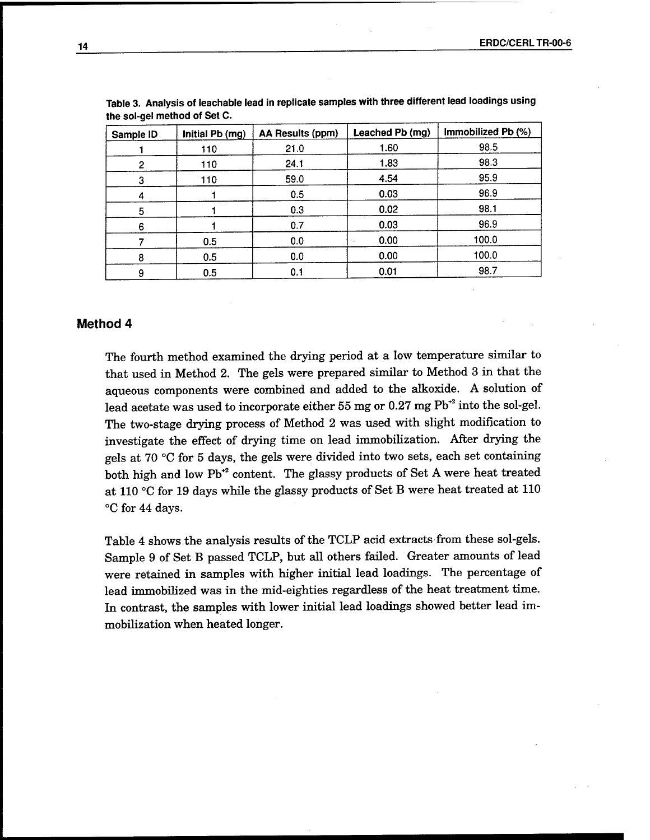| Sample ID | Initial Pb (mg) | AA Results (ppm) | Leached Pb (mg) | Immobilized Pb (%) |
|-----------|-----------------|------------------|-----------------|--------------------|
|           | 110             | 21.0             | 1.60            | 98.5               |
| 2         | 110             | 24.1             | 1.83            | 98.3               |
| 3         | 110             | 59.0             | 4.54            | 95.9               |
|           |                 | 0.5              | 0.03            | 96.9               |
| 5.        |                 | 0.3              | 0.02            | 98.1               |
| 6         |                 | 0.7              | 0.03            | 96.9               |
|           | 0.5             | 0.0              | 0.00            | 100.0              |
| 8         | 0.5             | 0.0              | 0.00            | 100.0              |
| 9         | 0.5             | 0.1              | 0.01            | 98.7               |

| Table 3. Analysis of leachable lead in replicate samples with three different lead loadings using |  |  |
|---------------------------------------------------------------------------------------------------|--|--|
| the sol-gel method of Set C.                                                                      |  |  |

#### **Method 4**

The fourth method examined the drying period at a low temperature similar to that used in Method 2. The gels were prepared similar to Method 3 in that the aqueous components were combined and added to the alkoxide. A solution of lead acetate was used to incorporate either 55 mg or 0.27 mg  $Pb^{*2}$  into the sol-gel. The two-stage drying process of Method 2 was used with slight modification to investigate the effect of drying time on lead immobilization. After drying the gels at 70 °C for 5 days, the gels were divided into two sets, each set containing both high and low Pb<sup>+2</sup> content. The glassy products of Set A were heat treated at 110 °C for 19 days while the glassy products of Set B were heat treated at 110 °C for 44 days.

Table 4 shows the analysis results of the TCLP acid extracts from these sol-gels. Sample 9 of Set B passed TCLP, but all others failed. Greater amounts of lead were retained in samples with higher initial lead loadings. The percentage of lead immobilized was in the mid-eighties regardless of the heat treatment time. In contrast, the samples with lower initial lead loadings showed better lead immobilization when heated longer.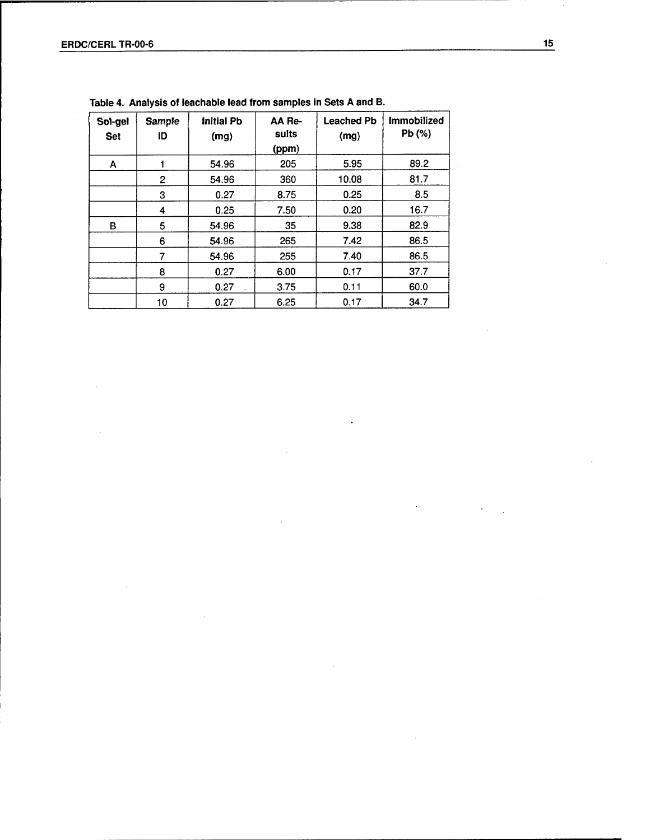| Sol-gel<br><b>Set</b> | Sample<br>סו | <b>Initial Pb</b><br>(mg) | AA Re-<br>sults<br>(ppm) | <b>Leached Pb</b><br>(mg) | <b>Immobilized</b><br>Pb (%) |
|-----------------------|--------------|---------------------------|--------------------------|---------------------------|------------------------------|
| A                     |              | 54.96                     | 205                      | 5.95                      | 89.2                         |
|                       | 2            | 54.96                     | 360                      | 10.08                     | 81.7                         |
|                       | 3            | 0.27                      | 8.75                     | 0.25                      | 8.5                          |
|                       | 4            | 0.25                      | 7.50                     | 0.20                      | 16.7                         |
| B                     | 5            | 54.96                     | 35                       | 9.38                      | 82.9                         |
|                       | 6            | 54.96                     | 265                      | 7.42                      | 86.5                         |
|                       | 7            | 54.96                     | 255                      | 7.40                      | 86.5                         |
|                       | 8            | 0.27                      | 6.00                     | 0.17                      | 37.7                         |
|                       | 9            | 0.27                      | 3.75                     | 0.11                      | 60.0                         |
|                       | 10           | 0.27                      | 6.25                     | 0.17                      | 34.7                         |

**Table 4. Analysis of teachable lead from samples in Sets A and B.**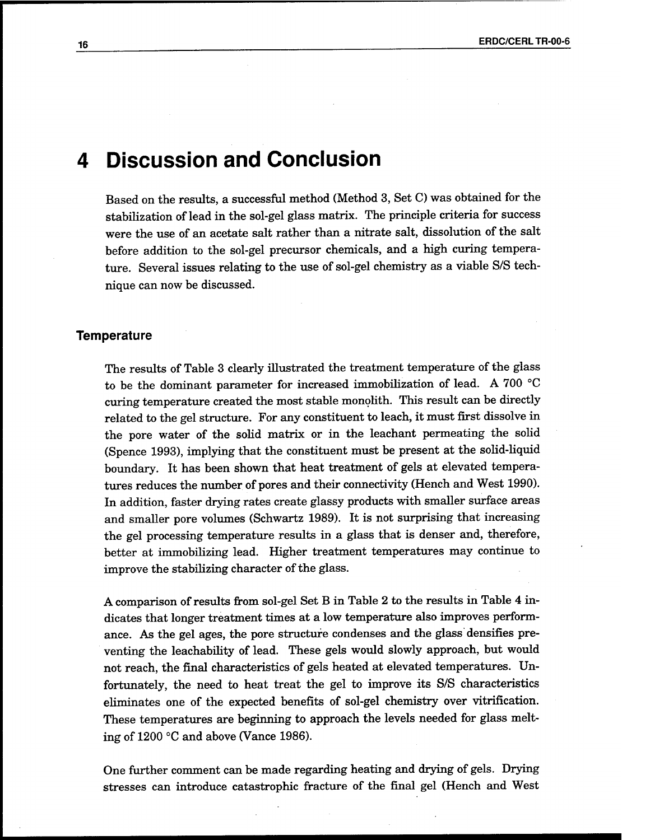## **4 Discussion and Conclusion**

Based on the results, a successful method (Method 3, Set C) was obtained for the stabilization of lead in the sol-gel glass matrix. The principle criteria for success were the use of an acetate salt rather than a nitrate salt, dissolution of the salt before addition to the sol-gel precursor chemicals, and a high curing temperature. Several issues relating to the use of sol-gel chemistry as a viable S/S technique can now be discussed.

#### **Temperature**

The results of Table 3 clearly illustrated the treatment temperature of the glass to be the dominant parameter for increased immobilization of lead. A 700 °C curing temperature created the most stable monolith. This result can be directly related to the gel structure. For any constituent to leach, it must first dissolve in the pore water of the solid matrix or in the leachant permeating the solid (Spence 1993), implying that the constituent must be present at the solid-liquid boundary. It has been shown that heat treatment of gels at elevated temperatures reduces the number of pores and their connectivity (Hench and West 1990). In addition, faster drying rates create glassy products with smaller surface areas and smaller pore volumes (Schwartz 1989). It is not surprising that increasing the gel processing temperature results in a glass that is denser and, therefore, better at immobilizing lead. Higher treatment temperatures may continue to improve the stabilizing character of the glass.

A comparison ofresults from sol-gel Set B in Table 2 to the results in Table 4 indicates that longer treatment times at a low temperature also improves performance. As the gel ages, the pore structure condenses and the glass densities preventing the leachability of lead. These gels would slowly approach, but would not reach, the final characteristics of gels heated at elevated temperatures. Unfortunately, the need to heat treat the gel to improve its S/S characteristics eliminates one of the expected benefits of sol-gel chemistry over vitrification. These temperatures are beginning to approach the levels needed for glass melting of 1200 °C and above (Vance 1986).

One further comment can be made regarding heating and drying of gels. Drying stresses can introduce catastrophic fracture of the final gel (Hench and West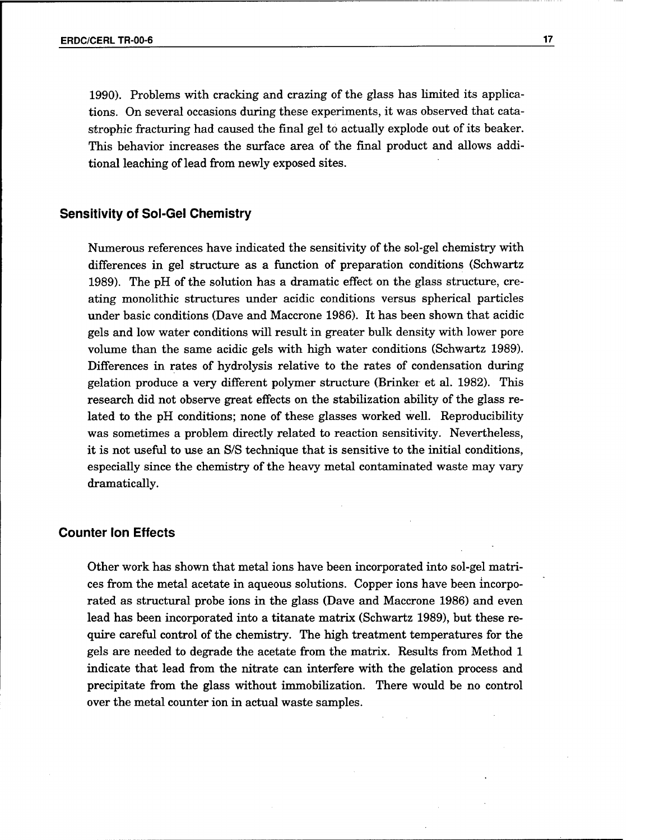1990). Problems with cracking and crazing of the glass has limited its applications. On several occasions during these experiments, it was observed that catastrophic fracturing had caused the final gel to actually explode out of its beaker. This behavior increases the surface area of the final product and allows additional leaching of lead from newly exposed sites.

#### **Sensitivity of Sol-Gel Chemistry**

Numerous references have indicated the sensitivity of the sol-gel chemistry with differences in gel structure as a function of preparation conditions (Schwartz 1989). The pH of the solution has a dramatic effect on the glass structure, creating monolithic structures under acidic conditions versus spherical particles under basic conditions (Dave and Maccrone 1986). It has been shown that acidic gels and low water conditions will result in greater bulk density with lower pore volume than the same acidic gels with high water conditions (Schwartz 1989). Differences in rates of hydrolysis relative to the rates of condensation during gelation produce a very different polymer structure (Brinker et al. 1982). This research did not observe great effects on the stabilization ability of the glass related to the pH conditions; none of these glasses worked well. Reproducibility was sometimes a problem directly related to reaction sensitivity. Nevertheless, it is not useful to use an S/S technique that is sensitive to the initial conditions, especially since the chemistry of the heavy metal contaminated waste may vary dramatically.

#### **Counter Ion Effects**

Other work has shown that metal ions have been incorporated into sol-gel matrices from the metal acetate in aqueous solutions. Copper ions have been incorporated as structural probe ions in the glass (Dave and Maccrone 1986) and even lead has been incorporated into a titanate matrix (Schwartz 1989), but these require careful control of the chemistry. The high treatment temperatures for the gels are needed to degrade the acetate from the matrix. Results from Method <sup>1</sup> indicate that lead from the nitrate can interfere with the gelation process and precipitate from the glass without immobilization. There would be no control over the metal counter ion in actual waste samples.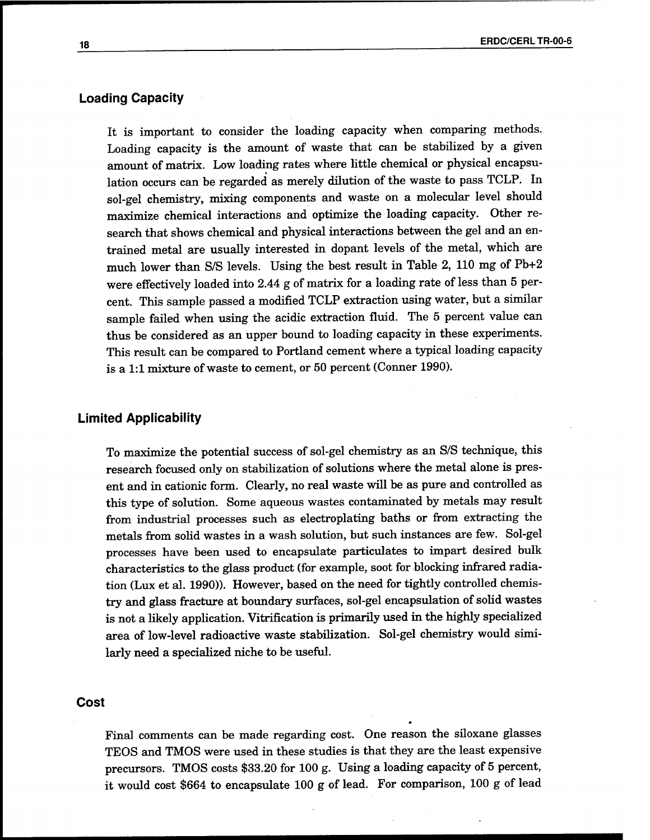#### **Loading Capacity**

It is important to consider the loading capacity when comparing methods. Loading capacity is the amount of waste that can be stabilized by a given amount of matrix. Low loading rates where little chemical or physical encapsulation occurs can be regarded as merely dilution of the waste to pass TCLP. In sol-gel chemistry, mixing components and waste on a molecular level should maximize chemical interactions and optimize the loading capacity. Other research that shows chemical and physical interactions between the gel and an entrained metal are usually interested in dopant levels of the metal, which are much lower than S/S levels. Using the best result in Table 2, 110 mg of Pb+2 were effectively loaded into 2.44 g of matrix for a loading rate of less than 5 percent. This sample passed a modified TCLP extraction using water, but a similar sample failed when using the acidic extraction fluid. The 5 percent value can thus be considered as an upper bound to loading capacity in these experiments. This result can be compared to Portland cement where a typical loading capacity is a 1:1 mixture of waste to cement, or 50 percent (Conner 1990).

#### **Limited Applicability**

To maximize the potential success of sol-gel chemistry as an S/S technique, this research focused only on stabilization of solutions where the metal alone is present and in cationic form. Clearly, no real waste will be as pure and controlled as this type of solution. Some aqueous wastes contaminated by metals may result from industrial processes such as electroplating baths or from extracting the metals from solid wastes in a wash solution, but such instances are few. Sol-gel processes have been used to encapsulate particulates to impart desired bulk characteristics to the glass product (for example, soot for blocking infrared radiation (Lux et al. 1990)). However, based on the need for tightly controlled chemistry and glass fracture at boundary surfaces, sol-gel encapsulation of solid wastes is not a likely application. Vitrification is primarily used in the highly specialized area of low-level radioactive waste stabilization. Sol-gel chemistry would similarly need a specialized niche to be useful.

#### **Cost**

Final comments can be made regarding cost. One reason the siloxane glasses TEOS and TMOS were used in these studies is that they are the least expensive precursors. TMOS costs \$33.20 for 100 g. Using a loading capacity of 5 percent, it would cost \$664 to encapsulate 100 g of lead. For comparison, 100 g of lead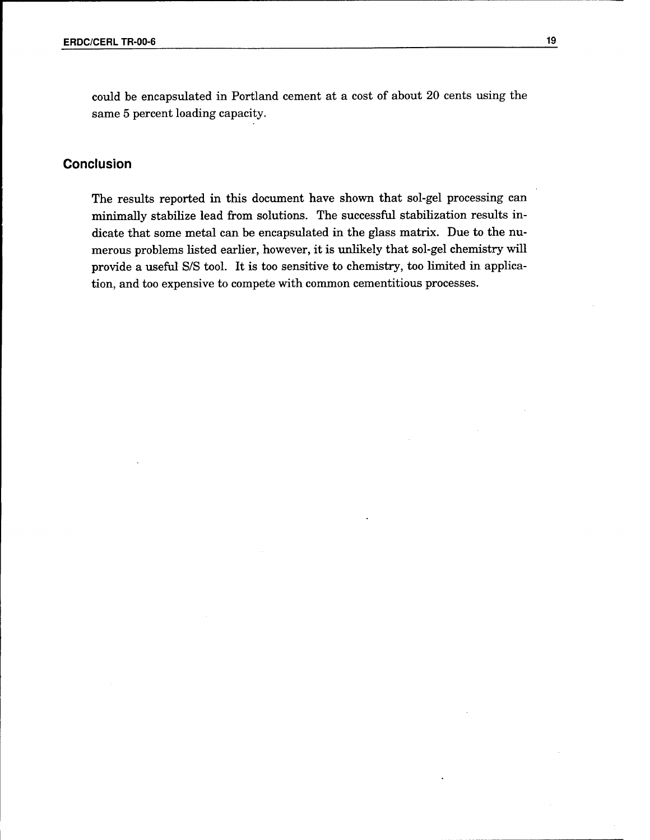could be encapsulated in Portland cement at a cost of about 20 cents using the same 5 percent loading capacity.

#### Conclusion

The results reported in this document have shown that sol-gel processing can minimally stabilize lead from solutions. The successful stabilization results indicate that some metal can be encapsulated in the glass matrix. Due to the numerous problems listed earlier, however, it is unlikely that sol-gel chemistry will provide a useful S/S tool. It is too sensitive to chemistry, too limited in application, and too expensive to compete with common cementitious processes.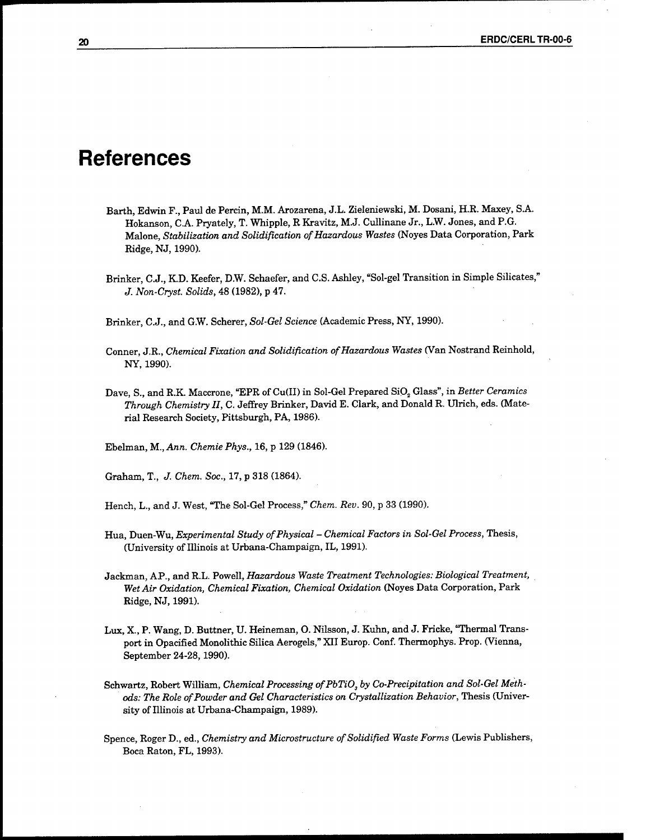### **References**

- Barth, Edwin F., Paul de Percin, M.M. Arozarena, J.L. Zieleniewski, M. Dosani, H.E. Maxey, S.A. Hokanson, CA. Pryately, T. Whipple, R Kravitz, M.J. Cullinane Jr., L.W. Jones, and P.G. Malone, *Stabilization and Solidification ofHazardous Wastes* (Noyes Data Corporation, Park Ridge, NJ, 1990).
- Brinker, C.J., K.D. Keefer, D.W. Schaefer, and C.S. Ashley, "Sol-gel Transition in Simple Silicates," *J. Non-Cryst. Solids,* 48 (1982), p 47.

Brinker, C.J., and G.W. Scherer, *Sol-Gel Science* (Academic Press, NY, 1990).

- Conner, J.R., *Chemical Fixation and Solidification ofHazardous Wastes* (Van Nostrand Reinhold, NY, 1990).
- Dave, S., and R.K. Maccrone, "EPR of Cu(II) in Sol-Gel Prepared SiO<sub>2</sub> Glass", in *Better Ceramics Through Chemistry II,* C. Jeffrey Brinker, David E. Clark, and Donald R. Ulrich, eds. (Material Research Society, Pittsburgh, PA, 1986).
- Ebelman, M., *Ann. Chemie Phys.,* 16, p 129 (1846).

Graham, T., *J. Chem. Soc.,* 17, p 318 (1864).

Hench, L, and J. West, "The Sol-Gel Process," *Chem. Rev.* 90, p 33 (1990).

- Hua, Duen-Wu, *Experimental Study ofPhysical - Chemical Factors in Sol-Gel Process,* Thesis, (University of Illinois at Urbana-Champaign, IL, 1991).
- Jackman, AP., and R.L. Powell, *Hazardous Waste Treatment Technologies: Biological Treatment, Wet Air Oxidation, Chemical Fixation, Chemical Oxidation* (Noyes Data Corporation, Park Ridge, NJ, 1991).
- Lux, X., P. Wang, D. Buttner, U. Heineman, O. Nilsson, J. Kuhn, and J. Fricke, Thermal Transport in Opacified Monolithic Silica Aerogels," XII Europ. Conf. Thermophys. Prop. (Vienna, September 24-28,1990).
- $Schwartz, Robert William, Chemical Processing of PbTiO, by Co-Precipitation and Sol-Gel Meth$ *ods: The Role ofPowder and Gel Characteristics on Crystallization Behavior,* Thesis (University of Illinois at Urbana-Champaign, 1989).
- Spence, Roger D., ed., *Chemistry and Microstructure ofSolidified Waste Forms* (Lewis Publishers, Boca Raton, FL, 1993).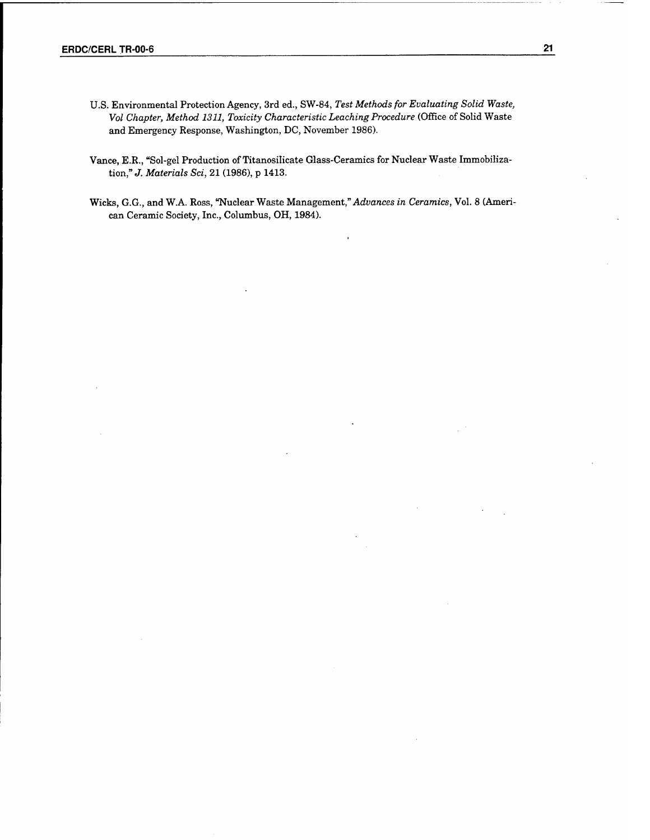- U.S. Environmental Protection Agency, 3rd ed., SW-84, *Test Methods for Evaluating Solid Waste, Vol Chapter, Method 1311, Toxicity Characteristic Leaching Procedure* (Office of Solid Waste and Emergency Response, Washington, DC, November 1986).
- Vance, E.R., "Sol-gel Production of Titanosilicate Glass-Ceramics for Nuclear Waste Immobilization," *J. Materials Sei,* 21 (1986), p 1413.
- Wicks, G.G., and W.A. Ross, "Nuclear Waste Management," *Advances in Ceramics,* Vol. 8 (American Ceramic Society, Inc., Columbus, OH, 1984).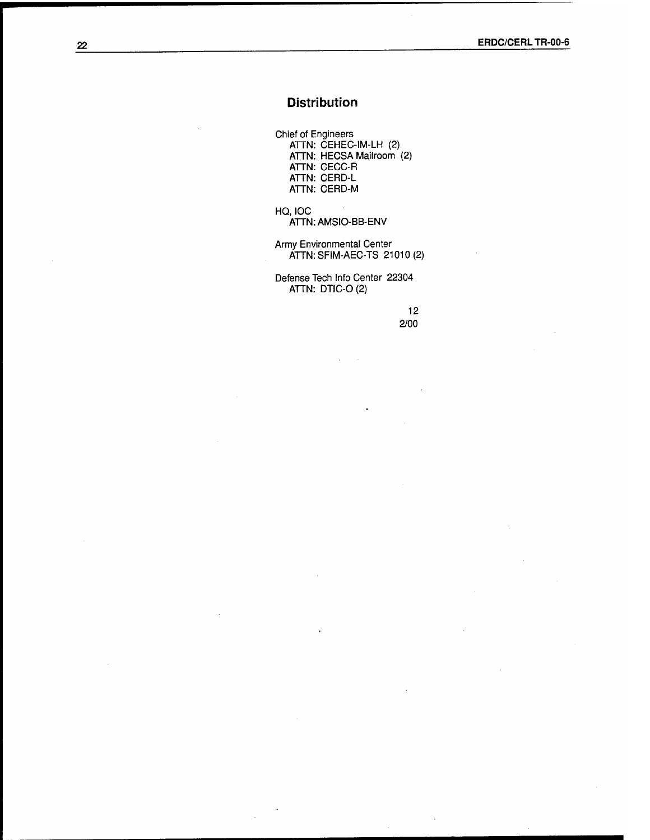#### Distribution

Chief of Engineers ATTN: CEHEC-IM-LH (2) ATTN: HECSA Mailroom (2) ATTN: CECC-R ATTN: CERD-L ATTN: CERD-M

HQ, IOC ATTN:AMSIO-BB-ENV

Army Environmental Center ATTN: SFIM-AEC-TS 21010 (2)

Defense Tech Info Center 22304 ATTN: DTIC-O(2)

> 12 2/00